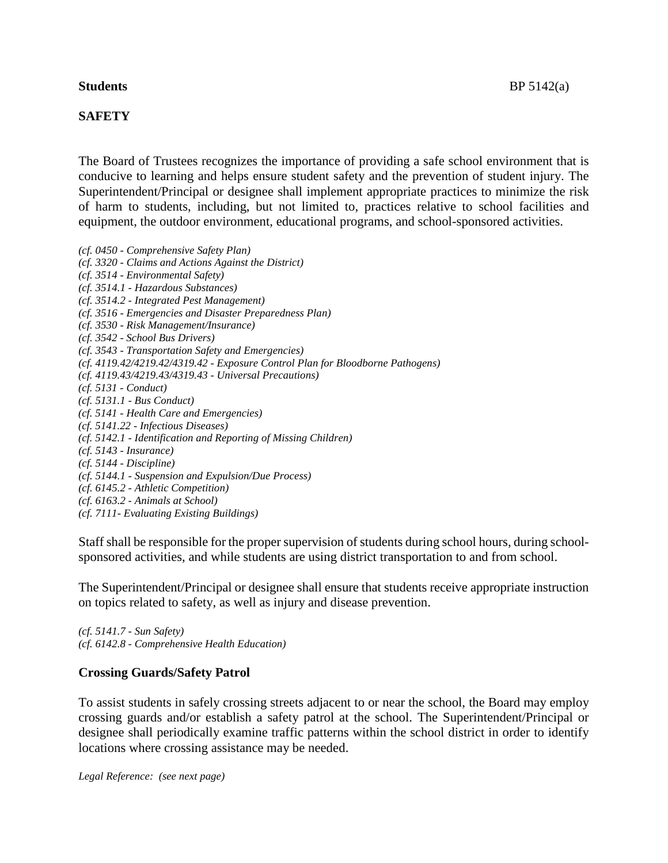## **SAFETY**

The Board of Trustees recognizes the importance of providing a safe school environment that is conducive to learning and helps ensure student safety and the prevention of student injury. The Superintendent/Principal or designee shall implement appropriate practices to minimize the risk of harm to students, including, but not limited to, practices relative to school facilities and equipment, the outdoor environment, educational programs, and school-sponsored activities.

*(cf. 0450 - Comprehensive Safety Plan) (cf. 3320 - Claims and Actions Against the District) (cf. 3514 - Environmental Safety) (cf. 3514.1 - Hazardous Substances) (cf. 3514.2 - Integrated Pest Management) (cf. 3516 - Emergencies and Disaster Preparedness Plan) (cf. 3530 - Risk Management/Insurance) (cf. 3542 - School Bus Drivers) (cf. 3543 - Transportation Safety and Emergencies) (cf. 4119.42/4219.42/4319.42 - Exposure Control Plan for Bloodborne Pathogens) (cf. 4119.43/4219.43/4319.43 - Universal Precautions) (cf. 5131 - Conduct) (cf. 5131.1 - Bus Conduct) (cf. 5141 - Health Care and Emergencies) (cf. 5141.22 - Infectious Diseases) (cf. 5142.1 - Identification and Reporting of Missing Children) (cf. 5143 - Insurance) (cf. 5144 - Discipline) (cf. 5144.1 - Suspension and Expulsion/Due Process) (cf. 6145.2 - Athletic Competition) (cf. 6163.2 - Animals at School) (cf. 7111- Evaluating Existing Buildings)*

Staff shall be responsible for the proper supervision of students during school hours, during schoolsponsored activities, and while students are using district transportation to and from school.

The Superintendent/Principal or designee shall ensure that students receive appropriate instruction on topics related to safety, as well as injury and disease prevention.

*(cf. 5141.7 - Sun Safety) (cf. 6142.8 - Comprehensive Health Education)*

#### **Crossing Guards/Safety Patrol**

To assist students in safely crossing streets adjacent to or near the school, the Board may employ crossing guards and/or establish a safety patrol at the school. The Superintendent/Principal or designee shall periodically examine traffic patterns within the school district in order to identify locations where crossing assistance may be needed.

*Legal Reference: (see next page)*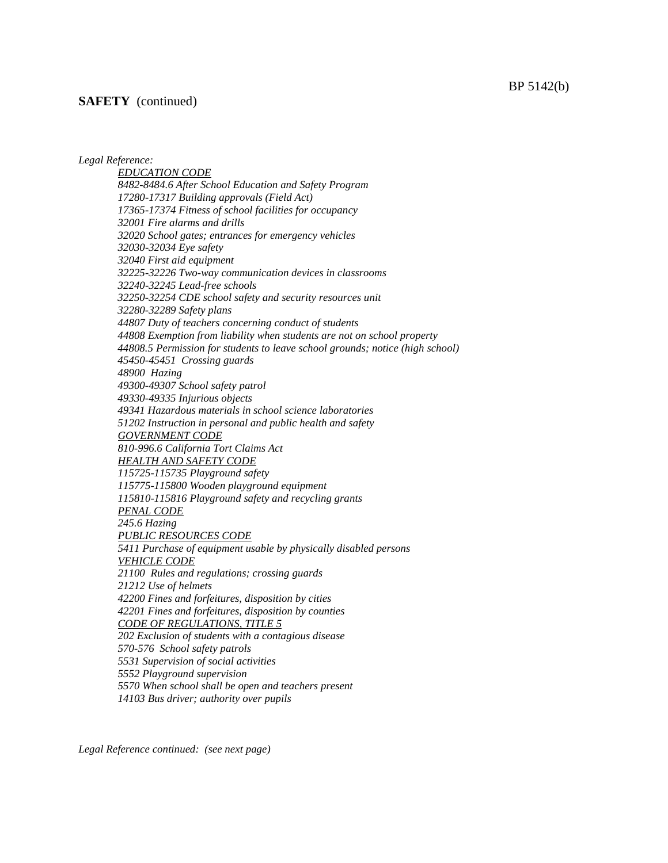#### **SAFETY** (continued)

*Legal Reference:*

*EDUCATION CODE 8482-8484.6 After School Education and Safety Program 17280-17317 Building approvals (Field Act) 17365-17374 Fitness of school facilities for occupancy 32001 Fire alarms and drills 32020 School gates; entrances for emergency vehicles 32030-32034 Eye safety 32040 First aid equipment 32225-32226 Two-way communication devices in classrooms 32240-32245 Lead-free schools 32250-32254 CDE school safety and security resources unit 32280-32289 Safety plans 44807 Duty of teachers concerning conduct of students 44808 Exemption from liability when students are not on school property 44808.5 Permission for students to leave school grounds; notice (high school) 45450-45451 Crossing guards 48900 Hazing 49300-49307 School safety patrol 49330-49335 Injurious objects 49341 Hazardous materials in school science laboratories 51202 Instruction in personal and public health and safety GOVERNMENT CODE 810-996.6 California Tort Claims Act HEALTH AND SAFETY CODE 115725-115735 Playground safety 115775-115800 Wooden playground equipment 115810-115816 Playground safety and recycling grants PENAL CODE 245.6 Hazing PUBLIC RESOURCES CODE 5411 Purchase of equipment usable by physically disabled persons VEHICLE CODE 21100 Rules and regulations; crossing guards 21212 Use of helmets 42200 Fines and forfeitures, disposition by cities 42201 Fines and forfeitures, disposition by counties CODE OF REGULATIONS, TITLE 5 202 Exclusion of students with a contagious disease 570-576 School safety patrols 5531 Supervision of social activities 5552 Playground supervision 5570 When school shall be open and teachers present 14103 Bus driver; authority over pupils*

*Legal Reference continued: (see next page)*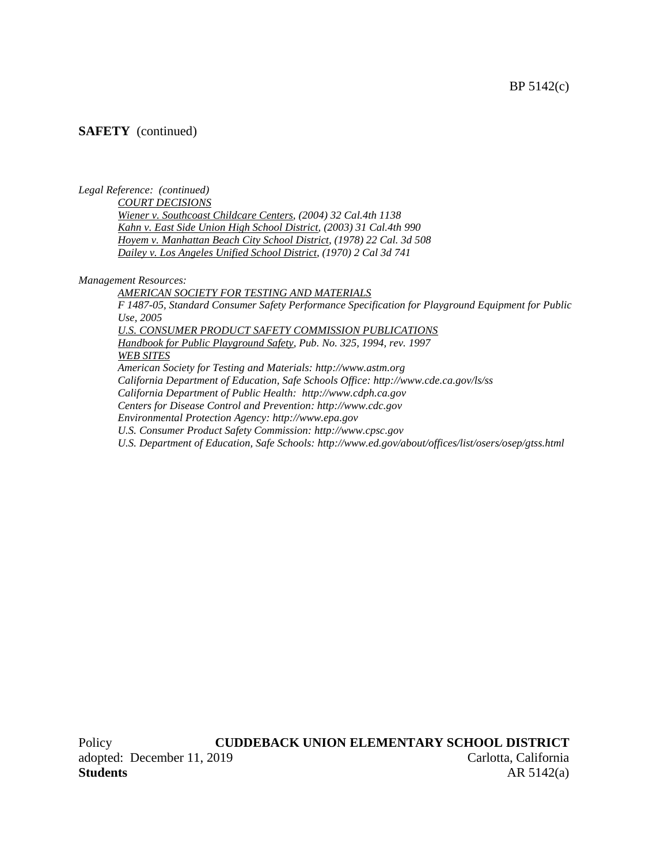BP 5142(c)

## **SAFETY** (continued)

*Legal Reference: (continued)*

*COURT DECISIONS*

*Wiener v. Southcoast Childcare Centers, (2004) 32 Cal.4th 1138 Kahn v. East Side Union High School District, (2003) 31 Cal.4th 990 Hoyem v. Manhattan Beach City School District, (1978) 22 Cal. 3d 508 Dailey v. Los Angeles Unified School District, (1970) 2 Cal 3d 741*

*Management Resources:*

*AMERICAN SOCIETY FOR TESTING AND MATERIALS F 1487-05, Standard Consumer Safety Performance Specification for Playground Equipment for Public Use, 2005 U.S. CONSUMER PRODUCT SAFETY COMMISSION PUBLICATIONS Handbook for Public Playground Safety, Pub. No. 325, 1994, rev. 1997 WEB SITES American Society for Testing and Materials: http://www.astm.org California Department of Education, Safe Schools Office: http://www.cde.ca.gov/ls/ss California Department of Public Health: http://www.cdph.ca.gov Centers for Disease Control and Prevention: http://www.cdc.gov Environmental Protection Agency: http://www.epa.gov U.S. Consumer Product Safety Commission: http://www.cpsc.gov U.S. Department of Education, Safe Schools: http://www.ed.gov/about/offices/list/osers/osep/gtss.html*

Policy **CUDDEBACK UNION ELEMENTARY SCHOOL DISTRICT** adopted: December 11, 2019 Carlotta, California **Students** AR 5142(a)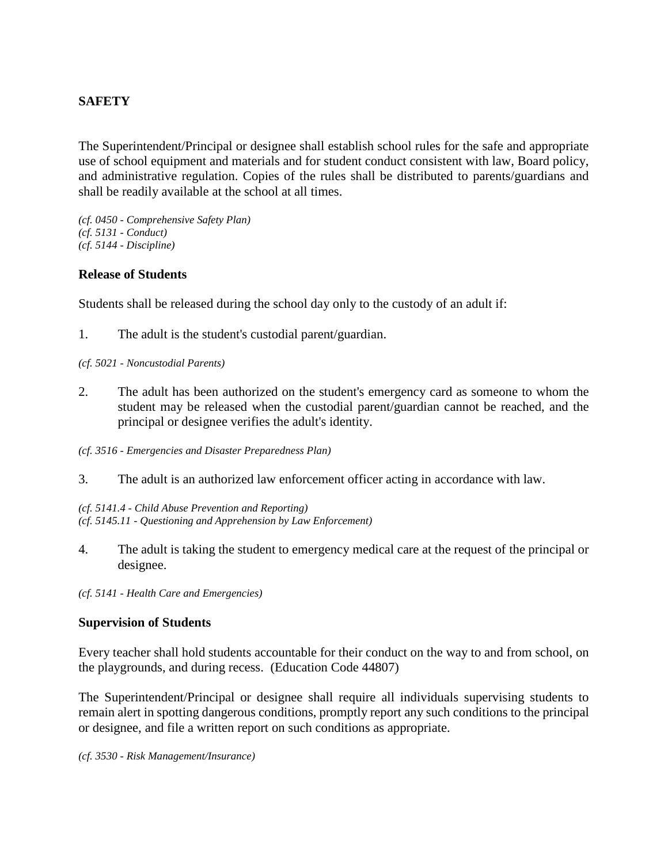# **SAFETY**

The Superintendent/Principal or designee shall establish school rules for the safe and appropriate use of school equipment and materials and for student conduct consistent with law, Board policy, and administrative regulation. Copies of the rules shall be distributed to parents/guardians and shall be readily available at the school at all times.

*(cf. 0450 - Comprehensive Safety Plan) (cf. 5131 - Conduct) (cf. 5144 - Discipline)*

## **Release of Students**

Students shall be released during the school day only to the custody of an adult if:

1. The adult is the student's custodial parent/guardian.

*(cf. 5021 - Noncustodial Parents)*

- 2. The adult has been authorized on the student's emergency card as someone to whom the student may be released when the custodial parent/guardian cannot be reached, and the principal or designee verifies the adult's identity.
- *(cf. 3516 - Emergencies and Disaster Preparedness Plan)*
- 3. The adult is an authorized law enforcement officer acting in accordance with law.

*(cf. 5141.4 - Child Abuse Prevention and Reporting) (cf. 5145.11 - Questioning and Apprehension by Law Enforcement)*

4. The adult is taking the student to emergency medical care at the request of the principal or designee.

*(cf. 5141 - Health Care and Emergencies)*

#### **Supervision of Students**

Every teacher shall hold students accountable for their conduct on the way to and from school, on the playgrounds, and during recess. (Education Code 44807)

The Superintendent/Principal or designee shall require all individuals supervising students to remain alert in spotting dangerous conditions, promptly report any such conditions to the principal or designee, and file a written report on such conditions as appropriate.

*(cf. 3530 - Risk Management/Insurance)*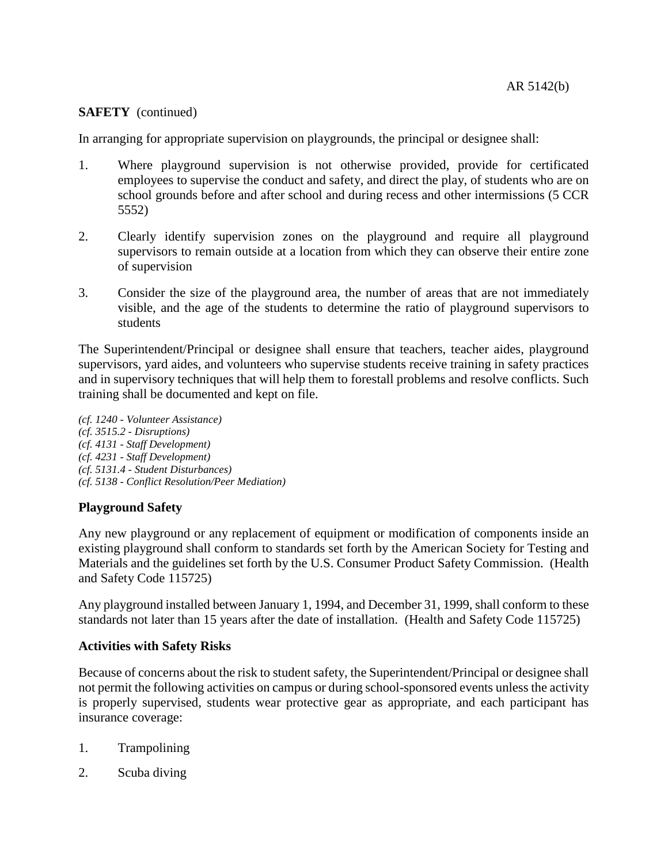## **SAFETY** (continued)

In arranging for appropriate supervision on playgrounds, the principal or designee shall:

- 1. Where playground supervision is not otherwise provided, provide for certificated employees to supervise the conduct and safety, and direct the play, of students who are on school grounds before and after school and during recess and other intermissions (5 CCR 5552)
- 2. Clearly identify supervision zones on the playground and require all playground supervisors to remain outside at a location from which they can observe their entire zone of supervision
- 3. Consider the size of the playground area, the number of areas that are not immediately visible, and the age of the students to determine the ratio of playground supervisors to students

The Superintendent/Principal or designee shall ensure that teachers, teacher aides, playground supervisors, yard aides, and volunteers who supervise students receive training in safety practices and in supervisory techniques that will help them to forestall problems and resolve conflicts. Such training shall be documented and kept on file.

*(cf. 1240 - Volunteer Assistance) (cf. 3515.2 - Disruptions) (cf. 4131 - Staff Development) (cf. 4231 - Staff Development) (cf. 5131.4 - Student Disturbances) (cf. 5138 - Conflict Resolution/Peer Mediation)*

# **Playground Safety**

Any new playground or any replacement of equipment or modification of components inside an existing playground shall conform to standards set forth by the American Society for Testing and Materials and the guidelines set forth by the U.S. Consumer Product Safety Commission. (Health and Safety Code 115725)

Any playground installed between January 1, 1994, and December 31, 1999, shall conform to these standards not later than 15 years after the date of installation. (Health and Safety Code 115725)

## **Activities with Safety Risks**

Because of concerns about the risk to student safety, the Superintendent/Principal or designee shall not permit the following activities on campus or during school-sponsored events unless the activity is properly supervised, students wear protective gear as appropriate, and each participant has insurance coverage:

- 1. Trampolining
- 2. Scuba diving